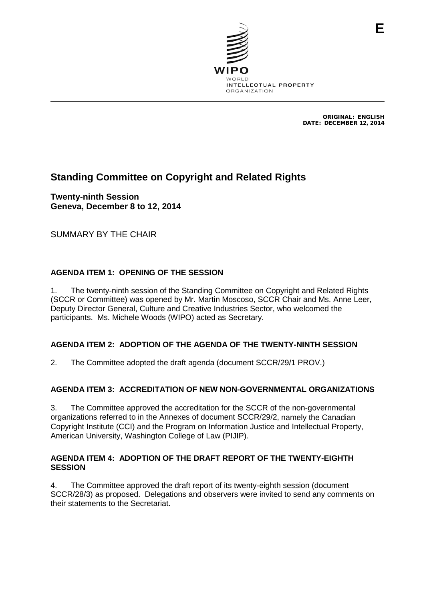

ORIGINAL: ENGLISH DATE: DECEMBER 12, 2014

# **Standing Committee on Copyright and Related Rights**

**Twenty-ninth Session Geneva, December 8 to 12, 2014**

SUMMARY BY THE CHAIR

## **AGENDA ITEM 1: OPENING OF THE SESSION**

1. The twenty-ninth session of the Standing Committee on Copyright and Related Rights (SCCR or Committee) was opened by Mr. Martin Moscoso, SCCR Chair and Ms. Anne Leer, Deputy Director General, Culture and Creative Industries Sector, who welcomed the participants. Ms. Michele Woods (WIPO) acted as Secretary.

## **AGENDA ITEM 2: ADOPTION OF THE AGENDA OF THE TWENTY-NINTH SESSION**

2. The Committee adopted the draft agenda (document SCCR/29/1 PROV.)

## **AGENDA ITEM 3: ACCREDITATION OF NEW NON-GOVERNMENTAL ORGANIZATIONS**

3. The Committee approved the accreditation for the SCCR of the non-governmental organizations referred to in the Annexes of document SCCR/29/2, namely the Canadian Copyright Institute (CCI) and the Program on Information Justice and Intellectual Property, American University, Washington College of Law (PIJIP).

#### **AGENDA ITEM 4: ADOPTION OF THE DRAFT REPORT OF THE TWENTY-EIGHTH SESSION**

4. The Committee approved the draft report of its twenty-eighth session (document SCCR/28/3) as proposed. Delegations and observers were invited to send any comments on their statements to the Secretariat.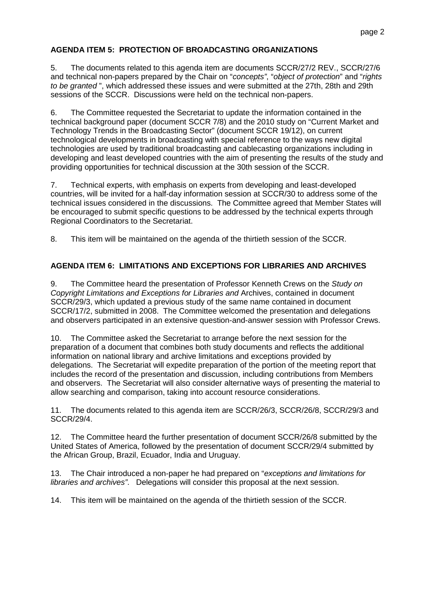## **AGENDA ITEM 5: PROTECTION OF BROADCASTING ORGANIZATIONS**

5. The documents related to this agenda item are documents SCCR/27/2 REV., SCCR/27/6 and technical non-papers prepared by the Chair on "*concepts"*, "*object of protection*" and "*rights to be granted* ", which addressed these issues and were submitted at the 27th, 28th and 29th sessions of the SCCR. Discussions were held on the technical non-papers.

6. The Committee requested the Secretariat to update the information contained in the technical background paper (document SCCR 7/8) and the 2010 study on "Current Market and Technology Trends in the Broadcasting Sector" (document SCCR 19/12), on current technological developments in broadcasting with special reference to the ways new digital technologies are used by traditional broadcasting and cablecasting organizations including in developing and least developed countries with the aim of presenting the results of the study and providing opportunities for technical discussion at the 30th session of the SCCR.

7. Technical experts, with emphasis on experts from developing and least-developed countries, will be invited for a half-day information session at SCCR/30 to address some of the technical issues considered in the discussions. The Committee agreed that Member States will be encouraged to submit specific questions to be addressed by the technical experts through Regional Coordinators to the Secretariat.

8. This item will be maintained on the agenda of the thirtieth session of the SCCR.

## **AGENDA ITEM 6: LIMITATIONS AND EXCEPTIONS FOR LIBRARIES AND ARCHIVES**

9. The Committee heard the presentation of Professor Kenneth Crews on the *Study on Copyright Limitations and Exceptions for Libraries and* Archives, contained in document SCCR/29/3, which updated a previous study of the same name contained in document SCCR/17/2, submitted in 2008. The Committee welcomed the presentation and delegations and observers participated in an extensive question-and-answer session with Professor Crews.

10. The Committee asked the Secretariat to arrange before the next session for the preparation of a document that combines both study documents and reflects the additional information on national library and archive limitations and exceptions provided by delegations. The Secretariat will expedite preparation of the portion of the meeting report that includes the record of the presentation and discussion, including contributions from Members and observers. The Secretariat will also consider alternative ways of presenting the material to allow searching and comparison, taking into account resource considerations.

11. The documents related to this agenda item are SCCR/26/3, SCCR/26/8, SCCR/29/3 and SCCR/29/4.

12. The Committee heard the further presentation of document SCCR/26/8 submitted by the United States of America, followed by the presentation of document SCCR/29/4 submitted by the African Group, Brazil, Ecuador, India and Uruguay.

13. The Chair introduced a non-paper he had prepared on "*exceptions and limitations for libraries and archives"*. Delegations will consider this proposal at the next session.

14. This item will be maintained on the agenda of the thirtieth session of the SCCR.